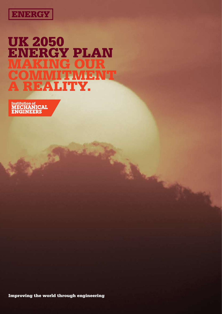

# UK 2050 ENERGY PLAN **MAKING O**  $\overline{\mathbf{C}}$ A REALITY.



Improving the world through engineering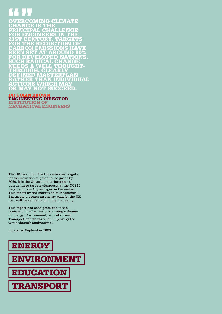# $\overline{111}$

**/ERCOMING CLIMATE** change is the principal challenge for engineers in the 21st century. Targets for the reduction of carbon emissions have been set at around 80% for developed nations. SUCH RADICAL CHANGE needs a well thoughtthrough, clearly defined masterplan rather than individual actions which may or may not succeed.

DR COLIN BROWN ENGIneering director INSTITUTION OF MECHANICAL ENGINEERS

The UK has committed to ambitious targets for the reduction of greenhouse gases by 2050. It is the Government's intention to pursue these targets vigorously at the COP15 negotiations in Copenhagen in December. This report by the Institution of Mechanical Engineers presents an energy plan for the UK that will make that commitment a reality.

This report has been produced in the context of the Institution's strategic themes of Energy, Environment, Education and Transport and its vision of 'Improving the world through engineering'.

Published September 2009.

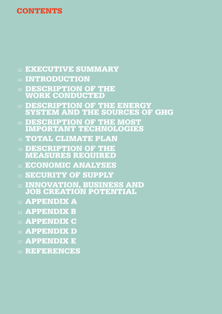# **CONTENTS**

- **02 EXECUTIVE SUMMARY**
- 04 INTRODUCTION
- 05 DESCRIPTION OF THE Work Conducted
- 07 DESCRIPTION OF THE ENERGY SYSTEM AND THE SOURCES OF G
- **09 DESCRIPTION OF THE MOST** important technologies
- 16 TOTAL CLIMATE PLAN
- 18 DESCRIPTION OF THE measures required
- 20 ECONOMIC ANALYSES
- 21 SECURITY OF SUPPLY
- 22 INNOVATION, BUSINESS AND job creation potential
- 23 **APPENDIX A**
- 24 **APPENDIX B**
- 25 **APPENDIX C**
- 26 **APPENDIX D**
- 27 **APPENDIX E**
- 28 REFERENCES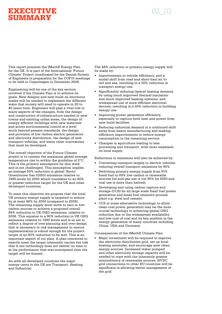### Executive **SUMMARY**

# 02\_03

This report presents the IMechE Energy Plan for the UK. It is part of the International 'Future Climate' Project coordinated by the Danish Society of Engineers in preparation for the COP15 meetings to be held in Copenhagen in December 2009.

Engineering will be one of the key sectors involved if the Climate Plan is to achieve its goals. New designs and new build on enormous scales will be needed to implement the different ways that society will need to operate in 20 to 40 years time. Engineers will play a vital role in many aspects of the changes, from the design and construction of infrastructure needed in new towns and existing urban areas, the design of energy efficient buildings with new materials and active environmental control at a level much beyond present standards, the design and provision of low carbon electric generators and electricity distribution, the design of new transport vehicles, and many other innovations that must be developed.

The overall objective of the Future Climate project is to contain the maximum global average temperature rise to within the guideline of 2°C. This is the primary assumption for this work and is not challenged. This assumption implies an average 50% reduction in global 'Kyoto' Greenhouse Gas (GHG) emissions relative to 1990 levels by 2050 which translates to an 80% or greater reduction target for the UK and other developed countries.

To meet this objective we propose that the total UK primary energy supply is targeted to reduce by at least 48% by 2050 (compared to 2006). The remaining supply must move to zero or low carbon sources to achieve a proposed overall 89% reduction in UK GHG emissions, relative to 2006. This equates to a 90% reduction in UK GHG emissions relative to 1990 levels and is so set to reflect a degree of over-planning and over-design that is necessary in risk management to ensure implementation is robust enough for the project target of an 80% reduction to be met. This is an important aspect of our plan. A plan conceived to exactly meet the target inherently carries the risk that if one technology does not deliver on time or at the performance that was anticipated then the target will be missed.

As with all developed countries the major energy users in the UK are Transport, Heating and Industrial.

The 48% reduction in primary energy supply will be made by:

- • Improvements in vehicle efficiency, and a modal shift from road and short-haul air to rail and sea, resulting in a 50% reduction in transport energy use.
- Significantly reducing (space) heating demand, by using much improved thermal insulation and much improved heating systems, and widespread use of more efficient electrical devices, resulting in a 50% reduction in building energy use.
- • Improving power generation efficiency, especially to capture both heat and power from new build facilities.
- • Reducing industrial demand in a continued shift away from heavy manufacturing and making efficiency improvements to reduce energy consumption in the remaining sectors.
- • Changes in agriculture leading to less processing and transport, with more emphasis on local supply.

Reductions in emissions will also be achieved by:

- • Converting transport largely to electric vehicles reducing overall transport emissions by 90%.
- Switching primary energy supply from 91% fossil fuel to 69% low carbon or renewable sources (oil and gas use is cut 90% by 2050 and coal use is more than halved).
- • Developing and using carbon capture and storage (CCS) for all large scale fossil fuel power generation and fossil fuel intensive process plant e.g. steel and cement.
- • CCS or some alternative technology to allow clean coal power generation may be the most crucial technology in achieving global GHG reduction due to the widespread availability and low cost of coal and its key position in the energy generation of many countries including China, USA and Germany.

Consequences of the IMechE Climate Plan

Major investment will be required to improve the electricity distribution grid, set up local heating networks, and encourage new clean energy sources. Increased water pumped and other electricity storage capacity will be needed to cope with the inherently greater intermittency of renewable sources. HVDC grid connections to other EU countries will be significant in allowing better management of the grid.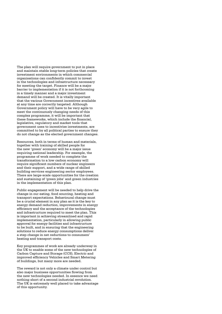The plan will require government to put in place and maintain stable long-term policies that create investment environments in which commercial organisations can confidently commit to invest in the technologies and infrastructure necessary for meeting the target. Finance will be a major barrier to implementation if it is not forthcoming in a timely manner and a major investment demand will be created. It is vitally important that the various Government incentives available at any time are correctly targeted. Although Government policy will have to be very agile to meet the continuously changing needs of this complex programme, it will be important that these frameworks, which include the financial, legislative, regulatory and market tools that government uses to incentivise investments, are committed to by all political parties to ensure they do not change as the elected government changes.

Resources, both in terms of human and materials, together with training of skilled people for the new 'green' economy will be a major issue requiring national leadership. For example, the programme of work needed to complete the transformation to a low carbon economy will require significant numbers of nuclear engineers and their support, and a wide range of skilled building services engineering sector employees. There are large-scale opportunities for the creation and sustaining of 'green jobs' and green industries in the implementation of this plan.

Public engagement will be needed to help drive the change in our eating, food sourcing, heating and transport expectations. Behavioural change must be a crucial element in any plan as it is the key to energy demand reduction, improvements in energy efficiency and the acceptance of the technologies and infrastructure required to meet the plan. This is important in achieving streamlined and rapid implementation, particularly in allowing public approval for energy facilities and infrastructure to be built, and in ensuring that the engineering solutions to reduce energy consumptions deliver a step change in net reductions to consumers' heating and transport costs.

Key programmes of work are already underway in the UK to enable some of the new technologies of Carbon Capture and Storage (CCS), Electric and improved efficiency Vehicles and Smart Metering of buildings, but many more are needed.

The reward is not only a climate under control but also major business opportunities flowing from the new technologies needed. In essence we need nothing short of a second industrial revolution. The UK is extremely well placed to take advantage of this opportunity.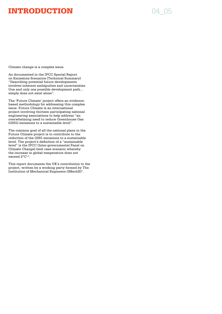# **INTRODUCTION**

# 04\_05

Climate change is a complex issue.

As documented in the IPCC Special Report on Emissions Scenarios (Technical Summary) "Describing potential future developments involves inherent ambiguities and uncertainties. One and only one possible development path… simply does not exist alone".

The 'Future Climate' project offers an evidencebased methodology for addressing this complex issue. Future Climate is an international project involving thirteen participating national engineering associations to help address "an overwhelming need to reduce Greenhouse Gas (GHG) emissions to a sustainable level".

The common goal of all the national plans in the Future Climate project is to contribute to the reduction of the GHG emissions to a sustainable level. The project's definition of a "sustainable level" is the IPCC (Inter-governmental Panel on Climate Change) best case scenario whereby the increase in global temperature does not exceed  $2^{\circ}C^{1,2}$ .

This report documents the UK's contribution to the project, written by a working party formed by The Institution of Mechanical Engineers (IMechE)3.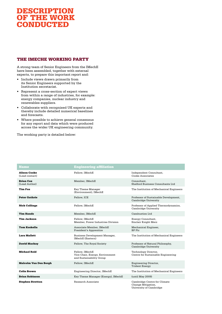### Description of the work **CONDUCTED**

### The IMechE Working Party

A strong team of Senior Engineers from the IMechE have been assembled, together with external experts, to prepare this important report and:

- • Include views drawn primarily from its Senior Engineers supported by the Institution secretariat.
- • Represent a cross-section of expert views from within a range of industries, for example: energy companies, nuclear industry and renewables suppliers.
- • Collaborate with recognised UK experts and thereby include detailed numerical baselines and forecasts.
- • Where possible to achieve general consensus for any report and data which were produced across the wider UK engineering community.

The working party is detailed below:

| <b>Name</b>                           | <b>Engineering affiliation</b>                                                                                                              |                                                                               |
|---------------------------------------|---------------------------------------------------------------------------------------------------------------------------------------------|-------------------------------------------------------------------------------|
| <b>Alison Cooke</b><br>(Lead contact) | Fellow, IMechE                                                                                                                              | Independent Consultant,<br>Cooke Associates                                   |
| <b>Brian Cox</b><br>(Lead Author)     | Member, IMechE                                                                                                                              | Consultant,<br>Shelford Business Consultants Ltd                              |
| Tim Fox                               | Key Theme Manager<br>(Environment), IMechE                                                                                                  | The Institution of Mechanical Engineers                                       |
| <b>Peter Guthrie</b>                  | Fellow, ICE                                                                                                                                 | Professor of Sustainable Development,<br>Cambridge University                 |
| <b>Nick Collings</b>                  | Fellow, IMechE                                                                                                                              | Professor of Applied Thermodynamics,<br>Cambridge University                  |
| <b>Tim Hands</b>                      | Member, IMechE                                                                                                                              | Cambustion Ltd                                                                |
| Tim Jackson                           | Fellow, IMechE<br>Member, Power Industries Division                                                                                         | Energy Consultant,<br>Sinclair Knight Merz                                    |
| Tom Koskella                          | Associate Member, IMechE<br>President's Apprentice                                                                                          | Mechanical Engineer,<br>BP Plc                                                |
| <b>Lara Mallett</b>                   | Business Development Manager,<br>IMechE (Eastern)                                                                                           | The Institution of Mechanical Engineers                                       |
| <b>David Mackay</b>                   | Professor of Natural Philosophy,<br>Fellow, The Royal Society<br>Cambridge University                                                       |                                                                               |
| <b>Michael Reid</b>                   | Fellow, IMechE<br>Technology Director,<br>Vice Chair, Energy, Environment<br>Centre for Sustainable Engineering<br>and Sustainability Group |                                                                               |
| <b>Malcolm Van Den Bergh</b>          | Fellow, IMechE<br><b>Engineering Director,</b><br><b>Trident Energy</b>                                                                     |                                                                               |
| <b>Colin Brown</b>                    | Engineering Director, IMechE                                                                                                                | The Institution of Mechanical Engineers                                       |
| <b>Brian Robinson</b>                 | Key Theme Manager (Energy), IMechE                                                                                                          | (until May 2009)                                                              |
| <b>Stephen Stretton</b>               | Research Associate                                                                                                                          | Cambridge Centre for Climate<br>Change Mitigation,<br>University of Cambridge |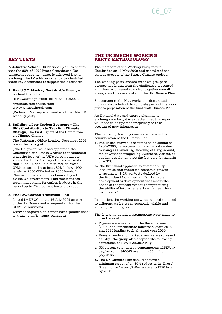# 06\_07

### **KEY TEXTS**

A definitive 'official' UK National plan, to ensure that the 80% of 1990 Kyoto Greenhouse Gas emissions reduction target is achieved is still evolving. The IMechE working party identified three key documents to support their research.

1. David J.C. Mackay. Sustainable Energy without the hot air,

UIT Cambridge, 2008. ISBN 978-0-9544529-3-3 Available free online from

www.withouthotair.com

(Professor Mackay is a member of the IMechE working party)

2. Building a Low Carbon Economy – The UK's Contribution to Tackling Climate Change, The First Report of the Committee on Climate Change.

The Stationary Office London, December 2008 www.theccc.org.uk

(The UK government has appointed the Committee on Climate Change to recommend what the level of the UK's carbon budgets should be. In its first report it recommends that "The UK should aim to reduce Kyoto GHG emissions by at least 80% below 1990 levels by 2050 (77% below 2005 levels)". This recommendation has been adopted by the UK government. This report makes recommendations for carbon budgets in the period up to 2020 but not beyond to 2050.)

#### 3. The Low Carbon Transition Plan

Issued by DECC on the 16 July 2009 as part of the UK Goverment's preparation for the COP15 discussions.

www.decc.gov.uk/en/content/cms/publications/ lc\_trans\_plan/lc\_trans\_plan.aspx

### The UK IMechE Working Party Methodology

The members of the Working Party met in Cambridge on 11 May 2009 and considered the various aspects of the Future Climate project.

The working party divided into two groups to discuss and brainstorm the challenges presented and then reconvened to collect together overall ideas, structures and data for the UK Climate Plan.

Subsequent to the May workshop, designated individuals undertook to complete parts of the work prior to preparation of the final draft Climate Plan.

As National data and energy planning is evolving very fast, it is expected that this report will need to be updated frequently to take account of new information.

The following Assumptions were made in the consideration of the Climate Plan:

- a. Population growth is assumed to be similar to 1950–2000, i.e assume no mass migration due to rising sea levels (eg. flooding of Bangladesh), major water shortages (eg. Australia, Africa), or sudden population growths (eg. cure for malaria or AIDS).
- **b.** The Bruntland approach to sustainability is taken so that moderate economic growth is assumed:  $(1-2\% \text{ pa})^{25}$ . As defined by the Bruntland Commission: "Sustainable development is development that meets the needs of the present without compromising the ability of future generations to meet their own needs".

In addition, the working party recognised the need to differentiate between economic, viable and working technologies.

The following detailed assumptions were made to inform the work:

- a. Figures were needed for the Baseline year (2006) and intermediate milestone years 2015 and 2030 leading to final target year 2050.
- b. Energy needs and market sizes were expressed as PJ/y. The group also adopted the following conversion of 1GW = 28.3824PJ/y
- c. UK current total energy consumption: 125KWh/ day/person = 340GW assuming 60 million population.
- d. The UK Climate Plan should achieve a minimum target of an 80% reduction in 'Kyoto' Greenhouse Gases (GHG) relative to 1990 level by 2050.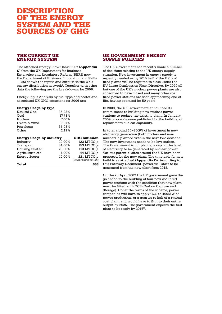### **DESCRIPTION** of the energy system and the sources of GHG

### The Current UK Energy System

The attached Energy Flow Chart 2007 (Appendix C) from the UK Department for Business Enterprise and Regulatory Reform (BERR now the Department of Business, Innovation and Skills – BIS) shows the inputs and outputs to the UK's energy distribution network<sup>8</sup>. Together with other data the following are the breakdowns for 2006.

Energy Input Analysis by fuel type and sector and associated UK GHG emissions for 2006 are:

#### Energy Usage by type

| Natural Gas  | 36.93% |
|--------------|--------|
| Coal         | 17.73% |
| Nuclear      | 7.00%  |
| Hydro & wind | 0.07%  |
| Petroleum    | 36.08% |
| Other        | 2.19%  |
|              |        |

| <b>Energy Usage by industry</b> | <b>GHG Emission</b> |                                                   |  |  |
|---------------------------------|---------------------|---------------------------------------------------|--|--|
| Industry                        | 29.00%              | 122 MTCO <sub>2</sub> e                           |  |  |
| Transport                       | 34.00%              | $153 \,\mathrm{MTCO}_2$ e                         |  |  |
| Housing related                 | 26.00%              | 113 MTCO <sub>2</sub> e                           |  |  |
| Agriculture etc                 | 1.00%               | 44 MTCO <sub>2</sub> e                            |  |  |
| <b>Energy Sector</b>            | 10.00%              | $221$ MTCO <sub>2</sub> e<br>(Power Stations 185) |  |  |
|                                 |                     |                                                   |  |  |
| <b>Total</b>                    |                     | 653                                               |  |  |

### UK Government Energy Supply Policies

The UK Government has recently made a number of decisions relating to the UK energy supply situation. New investment in energy supply is urgently needed as by 2015 half of the UK coal fired plants will be required to close under the EU Large Combustion Plant Directive. By 2020 all but one of the UK's nuclear power plants are also scheduled to have closed and many other coal fired power stations are soon approaching end of life, having operated for 50 years.

In 2008, the UK Government announced its commitment to building new nuclear power stations to replace the existing plant. In January 2009 proposals were published for the building of replacement nuclear capability.

In total around 30–35GW of investment in new electricity generation (both nuclear and nonnuclear) is planned within the next two decades. The new investment needs to be low-carbon. The Government is not placing a cap on the level of electricity to be generated by nuclear power. Various potential sites around the UK have been proposed for the new plant. The timetable for new build is as attached (**Appendix D**). According to this Pathway Document, power will start to be generated from the new plant from 2018.

On the 23 April 2009 the UK government gave the go ahead to the building of four new coal fired power stations with the condition that new plant must be fitted with CCS (Carbon Capture and Storage). Under the terms of the scheme, power companies will have to apply CCS to 400MW of power production, or a quarter to half of a typical coal plant, and would have to fit it to their entire output by 2025. The government expects the first plant to be ready by 2015<sup>11</sup>.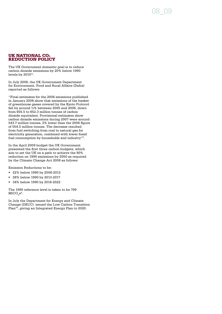# 08\_09

### UK NATIONAL CO2 REDUCTION POLICY

The UK Government domestic goal is to reduce carbon dioxide emissions by 20% below 1990 levels by  $2010^{10}$ .

In July 2008, the UK Government Department for Environment, Food and Rural Affairs (Defra) reported as follows:

"Final estimates for the 2006 emissions published in January 2008 show that emissions of the basket of greenhouse gases covered by the Kyoto Protocol fell by around ½% between 2005 and 2006, down from 655.5 to 652.3 million tonnes of carbon dioxide equivalent. Provisional estimates show carbon dioxide emissions during 2007 were around 543.7 million tonnes, 2% lower than the 2006 figure of 554.5 million tonnes. The decrease resulted from fuel switching from coal to natural gas for electricity generation, combined with lower fossil fuel consumption by households and industry"9 .

In the April 2009 budget the UK Government presented the first three carbon budgets, which aim to set the UK on a path to achieve the 80% reduction on 1990 emissions by 2050 as required by the Climate Change Act 2008 as follows

Emission Reductions to be:

- • 22% below 1990 by 2008-2012
- • 28% below 1990 by 2013-2017
- • 34% below 1990 by 2018-2022

The 1990 reference level is taken to be 799  $MtCO<sub>2</sub>e<sup>6</sup>$ .

In July the Department for Energy and Climate Change (DECC) issued the Low Carbon Transition Plan38, giving an Integrated Energy Plan to 2020.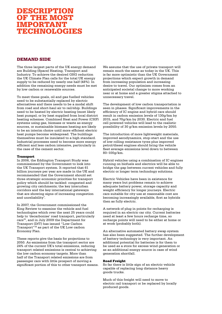### **DESCRIPTION** of the most **IMPORTANT** technologies

### Demand Side

The three largest parts of the UK energy demand are Building (Space) Heating, Transport and Industry. To achieve the desired GHG reduction the UK Climate Plan calls for the total UK energy supply to be reduced by nearly one half (48%). In addition the remaining energy needs must be met by low carbon or renewable sources.

To meet these goals, oil and gas fuelled vehicles need to be substantially replaced by electric alternatives and there needs to be a modal shift from road and short-haul air to rail/ship. Buildings need to be heated by electric heating (most likely heat pumps), or by heat supplied from local district heating schemes. Combined Heat and Power (CHP) systems using gas, biomass or waste as energy sources, or sustainable biomass heating are likely to be an interim choice until more efficient electric heat pumps become widespread. The buildings themselves must be insulated to a high standard. Industrial processes need to become more energy efficient and less carbon intensive, particularly in the case of the cement sector.

### **Transport**

In 2006, the Eddington Transport Study was commissioned by the Government to look into the UK Transport system. It reported that 61 billion journeys per year are made in the UK and recommended that the Government should set three strategic economic priorities for transport policy which should be tackled: congested and growing city catchments; the key interurban corridors and the key international gateways that are showing signs of increasing congestion and unreliability<sup>7</sup>.

In 2007, the Government commissioned the King Review to examine the vehicle and fuel technologies which over the next 25 years could help to 'decarbonise' road transport, particularly cars<sup>35</sup>, and in July 2009 the Department for Transport (DfT) has issued "Low Carbon Transport"36 as part of the UK Low carbon Economy Plan.

These reports give the basis for projections to 2050. As emissions from the transport sector are 24% of the current UK's total emissions, reducing transport related emissions is central to achieving the low carbon economy targets. More than half of the Transport related emissions are from passenger cars with little prospect of moving a significant portion of this to other transport means. We assume that the use of private transport will remain much the same as today in the UK. This is far more optimistic than the UK Government projections which expect growth in demand from increasing population and increasing desire to travel. Our optimism comes from an anticipated societal change to more working near or at home and a greater stigma attached to unnecessary travel.

The development of low carbon transportation is seen in phases. Significant improvements in the efficiency of IC engine and hybrid cars should result in carbon emission levels of 130g/km by 2015, and 70g/km by 2030. Electric and fuel cell powered vehicles will lead to the realistic possibility of 30 g/km emission levels by 2050.

The introduction of more lightweight materials, improved aerodynamics, stop-start and the use of low rolling resistance tyres plus improved petrol/diesel engines should bring the vehicle fleet average emissions level down to between 80–100g/km.

Hybrid vehicles using a combination of IC engines running on biofuels and electrics will be able to bridge the gap between current vehicles and fully electric or longer term technology solutions.

Electric Vehicles have been in existence for many years but problems remain to achieve adequate battery power, storage capacity and weight efficiency for longer journeys. Electric cars suitable for city use at reasonable cost are becoming increasingly available, first as hybrids then as fully electric.

A network of plug in points for recharging is required in an electric car city. Current batteries need at least a few hours recharge time, so recharge points will need to be either at home or at work (probably both).

An alternative automated battery swap system has also been suggested. The further development of battery technology is very important. An additional potential for batteries is for them to be used as a store for excess wind generation or as an additional energy source in case of wind generation shortfall.

### Road Freight

So far there is little sign of an electric vehicle capable of replacing long distance heavy goods trucks.

Much of this freight will need to move to electric rail transport or be replaced by locally produced goods.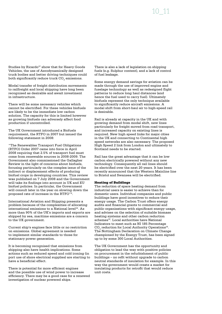# 10\_11

Studies by Ricardo<sup>37</sup> show that for Heavy Goods Vehicles, the use of Aerodynamically designed truck bodies and better driving techniques could both significantly reduce truck  $\mathrm{CO}_2^{}$  emissions.

Modal transfer of freight distribution movements to railfreight and local shipping have long been recognised as desirable and await investment in infrastructure.

There will be some necessary vehicles which cannot be electrified. For these vehicles biofuels are likely to be the immediate low carbon solution. The capacity for this is limited however as growing biofuels can adversely affect food production if uncontrolled.

The UK Government introduced a Biofuels requirement, the RTFO in 2007 but issued the following statement in 2008:

"The Renewables Transport Fuel Obligations (RTFO) Order 2007 came into force in April 2008 requiring that 2.5% of transport fuel must come from renewable sources in 2008-2009. The Government also commissioned the Gallagher Review in the light of concerns about biofuels, focusing particularly on the complex issue of the indirect or displacement effects of producing biofuel crops in developing countries. This review was published on 7 July 2008 and the Government will take its findings into account in UK and EU biofuel policies. In particular, the Government will consult later in the year on slowing down the proposed rate of increase in the RTFO"<sup>9</sup> .

International Aviation and Shipping presents a problem because of the complexities of allocating international emissions to a National level<sup>24</sup>. As more than 90% of the UK's imports and exports are shipped by sea, maritime emissions are a concern to the UK government.

Current ship's engines face little or no restriction on emissions. Global agreement is needed to implement similar standards to those for stationary power generation.

It is becoming recognised that emissions from shipping also have health implications. Some actions such as reduced speed and cold ironing (in port use of shore electrical supplies) are starting to have a beneficial effect.

There is potential for more efficient engines and the possible use of wind power to increase efficiency. There may be a good case for a renewed investigation of nuclear powered ships.

There is also a lack of legislation on shipping fuels (e.g. Sulphur content), and a lack of control of fuel leakage.

Some energy demand savings for aviation can be made through the use of improved engine and fuselage technology as well as redesigned flight patterns to reduce long haul distances (and hence the fuel used to carry fuel). Ultimately biofuels represent the only technique available to significantly reduce aircraft emissions. A modal shift from short-haul air to high-speed rail is desirable.

Rail is already at capacity in the UK and with growing demand from modal shift, new lines particularly for freight moved from road transport, and increased capacity on existing lines is required. New high speed links for major cities in the UK and connecting to Continental high speed networks are also necessary. The proposed High Speed 2 link from London and ultimately to Scotland needs to be started.

Rail has the great advantage that it can be low carbon electrically powered without any new technology. Consequently all rail lines should be electrified over the next 20 years. It has been recently announced that the Western Mainline line to Bristol and Swansea will be electrified.

#### Heating of Buildings

The reduction of space heating demand from industrial users is easier to achieve than for domestic users. Individual companies and public buildings have good incentives to reduce their energy usage. The Carbon Trust offers energy audits and financial grants to commercial and public organisations with significant energy usage, and advises on the selection of suitable biomass heating systems and other carbon reduction schemes<sup>12</sup>. Local authorities have National Indicators to meet such as NI 185 Percentage  $\mathrm{CO}_2$  reduction for Local Authority Operations<br>18. The Nottingham Declaration on Climate Change championed by the Energy Trust, has been signed up to by some 300 Local Authorities.

The UK Government has the opportunity and obligation to lead the way with positive policies on procurement in the refurbishment of public buildings – no refit without upgrade to carbon neutral standards of insulation for example. In this way the government would create a market for insulating products for retrofit that would reduce unit costs.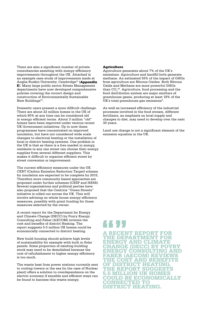There are also a significant number of private consultancies assisting with energy efficiency improvements throughout the UK. Attached is an example case study of improvements made at Anglia Ruskin University, Cambridge<sup>13</sup> (Appendix E). Many large public sector Estate Management departments have now developed comprehensive policies covering the correct design and construction of Environmentally Sustainable New Buildings $14$ .

Domestic users present a more difficult challenge. There are about 22 million homes in the UK of which 80% at any time can be considered old in energy efficient terms. About 3 million "old" homes have been improved under various recent UK Government initiatives. Up to now these programmes have concentrated on improved insulation, but have not considered wide scale changes to electrical heating or the installation of local or district heating systems. One problem in the UK is that as there is a free market in energy, residents in any one street can choose their energy supplies from several different suppliers. This makes it difficult to organize efficient street by street conversion or improvement.

The current efficiency measures under the UK CERT (Carbon Emission Reduction Target) scheme for insulation are expected to be complete by 2015, Therefore more community based approaches are proposed under further schemes (CESP and HESS). Several organisations and political parties have also proposed that the Centrica "Green Streets" initiative is rolled out across the UK. This will involve advising on whole house energy efficiency measures, possibly with grant funding for those measures selected by the owner.

A recent report for the Department for Energy and Climate Change (DECC) by Poyry Energy Consulting and Faber (AECOM) reviews the cost and benefits of district Heating. The report suggests 5.5 million UK homes could be economically connected to district heating.

New build housing should achieve high levels of sustainability for example with built in Solar panels. Some proportion of existing building stock may need to be demolished because the cost of refurbishment to higher energy efficiency is too much.

The waste heat from power stations currently sent to cooling towers or the sea (in the case of Nuclear plant) offers a solution to overdependence on the electric economy if sensible and efficient ways can be found to harness this waste energy.

### Agriculture

Agriculture generates about 7% of the UK's emissions. Agriculture and landfill both generate methane. An estimated 55% of the impact of GHGs from agriculture are Nitrous Oxides. Both Nitrous Oxide and Methane are more powerful GHGs than  $\mathrm{CO}_2^{-28}.$  Agriculture, food processing and the food distribution system are major emitters of greenhouse gases, producing at least 18% of the UK's total greenhouse gas emissions<sup>4</sup>.

As well as increased efficiency of the industrial processes involved in the food stream, different fertilizers, an emphasis on local supply and changes to diet, may need to develop over the next 30 years.

Land use change is not a significant element of the emission equation in the UK.

**AA 55** 

A recent report for the Department for Energy and Climate Change (DECC) by Poyry Energy Consulting and Faber (AECOM) reviews THE COST AND BENEFITS of district Heating. The report suggests 5.5 million UK homes could be economically connected to district heating.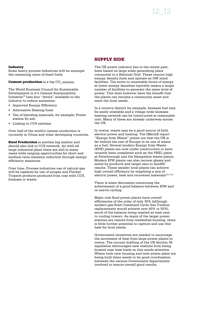# 12\_13

#### Industry

Some heavy process Industries will be amongst the remaining users of fossil fuels.

**Cement production** is a big  $\text{CO}_2$  emitter.

The World Business Council for Sustainable Development in it's Cement Sustainability Initiative39 lists four "levers" available to the industry to reduce emissions:

- • Improved Energy Efficiency
- • Alternative Heating fuels
- Use of blending materials, for example: Power station fly ash
- • Linking to CCS systems

Over half of the world's cement production is currently in China and other developing countries.

Steel Production is another big emitter and should also link to CCS network. As with all large industrial plant there are still in many cases wide ranging opportunities for short and medium term emission reduction through energy efficiency measures.

Over time, Process industries use of natural gas will be replaces by use of syngas and Fischer-Tropsch products produced from coal with CCS, biomass or waste.

### Supply Side

The UK power industry has in the recent past, been based on large scale generating plant connected to a National Grid. These require high energy density fuels and operate as GW sized facilities. The move to renewable forms of energy at lower energy densities typically means a larger number of facilities to generate the same level of power. This does however have the benefit that the plants can become a community asset and meet the local needs.

In a country district for example, biomass fuel may be easily available and a village wide biomass heating network can be constructed at reasonable cost. Many of these are already underway across the UK.

In towns, waste may be a good source of both electric power and heating. The IMechE report "Energy from Waste" points out that the UK is far behind the rest of Europe in its use of waste as a fuel. Several modern Energy from Waste (EfW) plants are now under construction or have recently been completed such as the PREL plant at Peterborough and the Hampshire waste plants. Modern EfW plants can also recover glassy and metal by-products and target zero to landfill results. These smaller local plants can achieve high overall efficiency by supplying a mix of electric power, heat and recovered materials $^{16,17,19}$ .

There is some discussion concerning the achievement of a good balance between EfW and re-use/re-cycling.

Major coal fired power plants have overall efficiencies of the order of only 30% (although modern gas fired Combined Cycle Gas Turbine replacements would achieve over 40% or 50%), much of the balance being wasted as heat sent to cooling towers. As many of the larger power stations are remote from residential housing, there is little further potential to capture and use this heat for local needs.

Government incentives are needed to encourage the movement of heat from large power plants to towns. The current drafting of the UK Section 36 legislation discourages new stations from being located near heat loads so this needs attention. Where both new housing and new power plant are being built there needs to be good coordination between the various Government departments involved to ensure overall good results.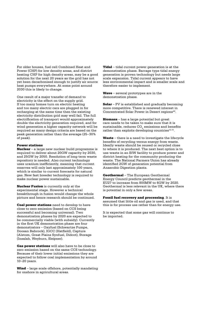For older houses, fuel cell Combined Heat and Power (CHP) for low density areas, and district heating CHP for high density areas, may be a good solution for the next 20 years as the grid has not yet been decarbonised enough to justify air source heat pumps everywhere. At some point around 2030 this is likely to change.

One result of a major transfer of demand to electricity is the effect on the supply grid. If too many homes turn on electric heating and too many electric cars are plugged in for recharging at the same time then the existing electricity distribution grid may well fail. The full electrification of transport would approximately double the electricity generation required, and for wind generation a higher capacity network will be required as many design criteria are based on the peak generation rather than the average (25–30% of peak).

### Power stations

**Nuclear** – a large new nuclear build programme is required to deliver about 20GW capacity by 2030, and 25GW by 2050. Resolution of long term waste repository is needed. Also current technology uses uranium inefficiently, meaning that current reserves will only last approximately 100 years, which is similar to current forecasts for natural gas. New fast breeder technology is required to make nuclear power sustainable.

Nuclear Fusion is currently only at the experimental stage. However a technical breakthrough in fusion would change the whole picture and hence research should be continued.

Coal power stations need to develop to have close to zero emission (based on CCS being successful and becoming universal). Two demonstration phases by 2020 are expected to be commercially viable (with subsidy). Currently in the first UK demonstration phase are four demonstrators – Oxyfuel (Schwartze Pumpe, Doosan Babcock), IGCC (Hatfield), Capture (Alstom, Great Plains Synfuel, Didcot), Storage (Insalah, Weyburn, Sleipner).

Gas power stations will also have to be close to zero emission based on the same CCS technology. Because of their lower initial emissions they are expected to follow coal implementation by around 10–20 years.

Wind – large scale offshore, potentially mandating for onshore in agricultural areas.

Tidal – tidal current power generation is at the demonstration phase. Barrage type tidal energy generation is proven technology but needs large scale expansion. Tidal current appears to have less environmental impact and is smaller scale and therefore easier to implement.

**Wave** – several prototypes are in the demonstration phase.

**Solar** – PV is established and gradually becoming more competitive. There is renewed interest in Concentrated Solar Power in Desert regions<sup>40</sup>.

Biomass – has a large potential but great care needs to be taken to make sure that it is sustainable, reduces  $CO<sub>2</sub>$  emissions and benefits rather than exploits developing countries<sup>12,15</sup>.

Waste – there is a need to investigate the lifecycle benefits of recycling versus energy from waste. Ideally waste should be reused or recycled close to where it is produced. The next best option is to use waste in an EfW facility to produce power and district heating for the community producing the waste. The National Farmers Union has already identified 2GW of generation potential from Anaerobic Digestion plants.

Geothermal – The European Geothermal Energy Council predicts geothermal in the EU27 to increase from 800MW to 6GW by 2020. Geothermal is less relevant in the UK, where there is potential in only a few areas.

Fossil fuel recovery and processing. It is assumed that little oil and gas is used, and that this is for process use rather than for energy use.

It is expected that some gas will continue to be imported.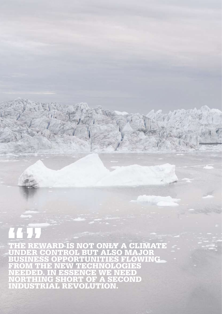The reward is not only a climate under control but also major business opportunities flowing from the new technologies needed. In essence we need ORTHING SHORT OF A SECOND industrial revolution.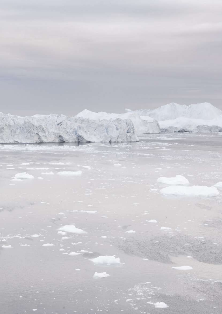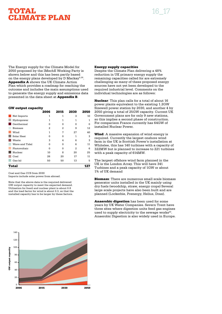## TOTAL **LIMATE PLAN**

The Energy supply for the Climate Model for 2050 proposed by the IMechE Working Party is shown below and this has been partly based on the energy plans developed by D Mackay<sup>5,29</sup>. Appendix A shows the UK Climate Action Plan which provides a roadmap for reaching the outcome and includes the main assumptions used to generate the energy supply and emissions data presented in the data sheet at Appendix B.

#### GW output capacity

|                | 2006           | 2015           | 2030     | 2050 |
|----------------|----------------|----------------|----------|------|
| Net Imports    | 1              | 1              | 3        | 10   |
| Hydropower     | 1              | 1              | 1        | 1    |
| Geothermal     | 0              | 0              | $\Omega$ | 0    |
| <b>Biomass</b> | $\overline{c}$ | $\overline{c}$ | 9        | 12   |
| Wind           | $\mathbf{1}$   | 7              | 27       | 40   |
| Solar Heat     | O              | O              | 1        | 3    |
| Waste          | 3              | 4              | 6        | 3    |
| Wave and Tidal | O              | O              | 6        | 11   |
| Photovoltaic   | O              | ŋ              | 2        | 6    |
| Nuclear        | 10             | 8              | 20       | 25   |
| Coal           | 26             | 20             | 17       | 11   |
| Gas (e)        | 50             | 50             | 13       | 5    |
| Total          |                |                |          | 127  |

Coal and Gas CCS from 2030

Imports include solar power from abroad.

Note that the above data is the required delivered GW output capacity to meet the expected demand. Utilisation for fossil and nuclear plant is about 0.8 and the load factor for wind is about 0.3, so that the installed capacity has to be larger by these factors.

#### Energy supply capacities

Despite the Climate Plan delivering a 48% reduction in UK primary energy supply the remaining capacities called for are extremely challenging as many of these proposed energy sources have not yet been developed to the required industrial level. Comments on the individual technologies are as follows:

Nuclear: This plan calls for a total of about 16 power plants equivalent to the existing 1.2GW Sizewell power station by 2030, and another 4 by 2050 giving a total of 25GW capacity. Current UK Government plans are for only 9 new stations, so this implies a second phase of construction. For comparison France currently has 64GW of installed Nuclear Power.

Wind: A massive expansion of wind energy is required. Currently the largest onshore wind farm in the UK is Scottish Power's installation at Whitelee, this has 140 turbines with a capacity of 322MW but is planned to increase to 221 turbines with a peak capacity of 614MW.

The largest offshore wind farm planned in the UK is the London Array. This will have 341 Turbines and a peak capacity of 1GW or about 1% of UK demand

**Biomass**: There are numerous small scale biomass generator units installed in the UK mainly using dry fuels (woodchip, straw, energy crops) Several large scale projects have also been built and are planned (Lockerbie, Prenergy, Helius, Drax).

Anaerobic digestion has been used for some years by UK Water Companies. Severn Trent have three sites where digestion units feed gas engines used to supply electricity to the sewage works $^{20}$ . Anaerobic Digestion is also widely used in Europe.

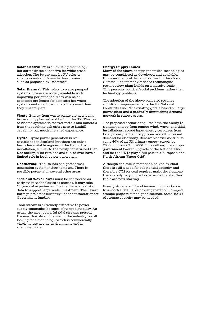**Solar electric**: PV is an existing technology but currently too expensive for widespread adoption. The future may be PV solar or solar concentrator farms in desert areas such as proposed by  $Desertec^{40}$ .

Solar thermal: This refers to water pumped systems. These are widely available with improving performance. They can be an economic pre-heater for domestic hot water systems and should be more widely used than they currently are.

Waste: Energy from waste plants are now being increasingly planned and built in the UK. The use of Plasma systems to recover metals and minerals from the resulting ash offers zero to landfill capability but needs installed experience.

Hydro: Hydro power generation is well established in Scotland but there are only a few other suitable regions in the UK for Hydro installation, similar to the newly constructed Glen Doe facility. Mini turbines and run-of-river have a limited role in local power generation.

Geothermal: The UK has one geothermal generation system in Southampton. There is possible potential in several other areas.

Tide and Wave Power must be considered as early stage technologies at present. It may take 10 years of experience of before there is realistic data to support large scale investment. The Severn Barrage project is currently under consideration for Government funding.

Tidal stream is extremely attractive to power supply companies because of its predictability. As usual, the most powerful tidal streams present the most hostile environment. The industry is still looking for a technology which is commercially viable in less hostile environments and in shallower water.

#### Energy Supply Issues

Many of the above energy generation technologies may be considered as developed and available. However the total demand planned in the above Climate Plan for many of these technologies requires new plant builds on a massive scale. This presents political/social problems rather than technology problems.

The adoption of the above plan also requires significant improvements to the UK National Electricity Grid. The existing grid is based on large power plant and a gradually diminishing demand network in remote areas.

The proposed scenario requires both the ability to transmit energy from remote wind, wave, and tidal installations; accept input energy surpluses from local power plant and supply an overall increased demand for electricity. Renewables will contribute some 40% of all UK primary energy supply by 2050; up from 2% in 2006. This will require a major government backed upgrade of the National Grid and for the UK to play a full part in a European and North African 'Super Grid'.

Although coal use is more than halved by 2050 there is still a need for substantial capacity and therefore CCS for coal requires major development; there is only very limited experience to date. New trials are now starting.

Energy storage will be of increasing importance to smooth sustainable power generation. Pumped storage projects offer a good solution. Some 10GW of storage capacity may be needed.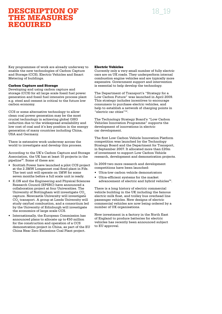### Description of the Measures **REQUIRED**

Key programmes of work are already underway to enable the new technologies of Carbon Capture and Storage (CCS), Electric Vehicles and Smart Metering of buildings.

#### Carbon Capture and Storage

Developing and using carbon capture and storage (CCS) for all large scale fossil fuel power generation and fossil fuel intensive process plant e.g. steel and cement is critical to the future low carbon economy.

CCS or some alternative technology to allow clean coal power generation may be the most crucial technology in achieving global GHG reduction due to the widespread availability and low cost of coal and it's key position in the energy generation of many countries including China, USA and Germany.

There is extensive work underway across the world to investigate and develop this process.

According to the UK's Carbon Capture and Storage Association, the UK has at least 10 projects in the pipeline30. Some of these are:

- • Scottish Power have launched a pilot CCS project at the 2.3MW Longannet coal fired plant in Fife. The test unit will operate on 1MW for some seven months before a full scale unit is ready.
- E.ON and the Engineering and Physical Sciences Research Council (EPSRC) have announced a collaboration project at four Universities. The University of Nottingham will investigate CO<sub>2</sub> capture. Newcastle University will investigate  $\mathrm{CO}_\mathrm{2}$  transport. A group at Leeds University will study oxyfuel combustion, and a consortium led by the University of Edinburgh will investigate the economics of large scale CCS.
- Internationally, the European Commission has announced plans to allocate up to  $\epsilon$ 50 million for the construction and operation of a CCS demonstration project in China, as part of the EU China Near Zero Emissions Coal Plant project.

#### Electric Vehicles

Currently only a very small number of fully electric cars are on UK roads. They underperform internal combustion engine vehicles and are typically more expensive. Government support and intervention is essential to help develop the technology.

The Department of Transport's "Strategy for a Low Carbon Future" was launched in April 2009. This strategy includes incentives to encourage consumers to purchase electric vehicles, and help to establish a network of charging points in "electric car cities"32.

The Technology Strategy Board's "Low Carbon Vehicles Innovation Programme" supports the development of innovations in electric car development.

The first Low Carbon Vehicle Innovation Platform competition was launched by the Technology Strategy Board and the Department for Transport, in September 2007. It allocated more than £20m of investment to support Low Carbon Vehicle research, development and demonstration projects.

In 2009 two more research and development competitions have been launched:

- • Ultra-low carbon vehicle demonstrators
- • Ultra-efficient systems for the market advancement of electric and hybrid vehicles<sup>34</sup>.

There is a long history of electric commercial vehicle building in the UK including the famous electric milk float, and trolley bus overhead line passenger vehicles. New designs of electric commercial vehicles are now being ordered by a number of UK organisations.

New investment in a factory in the North East of England to produce batteries for electric vehicles has recently been announced subject to EU approval.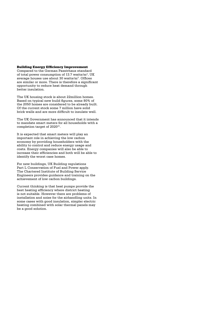### Building Energy Efficiency Improvement

Compared to the German Passivhaus standard of total power consumption of 13.7 watts/ $m^2$ , UK average houses use about 30 watts/m<sup>2</sup>. Offices are similar or more. There is therefore a significant opportunity to reduce heat demand through better insulation.

The UK housing stock is about 22million homes. Based on typical new build figures, some 80% of the 2050 homes are considered to be already built. Of the current stock some 7 million have solid brick walls and are more difficult to insulate well.

The UK Government has announced that it intends to mandate smart meters for all households with a completion target of  $2020^{31}$ .

It is expected that smart meters will play an important role in achieving the low carbon economy by providing householders with the ability to control and reduce energy usage and costs. Energy companies will also be able to increase their efficiencies and both will be able to identify the worst case homes.

For new buildings, UK Building regulations Part L Conservation of Fuel and Power apply. The Chartered Institute of Building Service Engineers provides guidance and training on the achievement of low carbon buildings.

Current thinking is that heat pumps provide the best heating efficiency where district heating is not suitable. However there are problems of installation and noise for the airhandling units. In some cases with good insulation, simpler electric heating combined with solar thermal panels may be a good solution.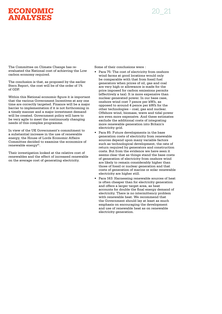## Economic **ANALYSES**

The Committee on Climate Change has reevaluated the National cost of achieving the Low carbon economy required.

The conclusion is that, as proposed by the earlier Stern Report, the cost will be of the order of 1% of GDP.

Within this National economic figure it is important that the various Government Incentives at any one time are correctly targeted. Finance will be a major barrier to implementation if it is not forthcoming in a timely manner and a major investment demand will be created. Government policy will have to be very agile to meet the continuously changing needs of this complex programme.

In view of the UK Government's commitment to a substantial increase in the use of renewable energy, the House of Lords Economic Affairs Committee decided to examine the economics of renewable energy $41$ .

Their investigation looked at the relative cost of renewables and the effect of increased renewable on the average cost of generating electricity.

Some of their conclusions were :

- • Para 75: The cost of electricity from onshore wind farms at good locations would only be comparable with that from fossil fuel generators when prices of oil, gas and coal are very high or allowance is made for the price imposed for carbon emissions permits (effectively a tax). It is more expensive than nuclear generated power. In our base case, onshore wind cost 7 pence per kWh, as opposed to around 4 pence per kWh for the other technologies – coal, gas and nuclear. Offshore wind, biomass, wave and tidal power are even more expensive. And these estimates exclude the additional costs of integrating more renewable generation into Britain's electricity grid.
- • Para 85: Future developments in the base generation costs of electricity from renewable sources depend upon many variable factors such as technological development, the rate of return required by generators and construction costs. But from the evidence we have seen it seems clear that as things stand the base costs of generation of electricity from onshore wind are likely to remain considerably higher than those of fossil or nuclear generation and that costs of generation of marine or solar renewable electricity are higher still.
- Para 163: Harnessing renewable sources of heat is often cheaper than for electricity generation and offers a larger target area, as heat accounts for double the final energy demand of electricity. There is no intermittency problem with renewable heat. We recommend that the Government should lay at least as much emphasis on encouraging the development and use of renewable heat as on renewable electricity generation.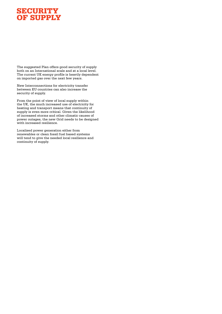## **SECURITY** of Supply

The suggested Plan offers good security of supply both on an International scale and at a local level. The current UK energy profile is heavily dependent on imported gas over the next few years.

New Interconnections for electricity transfer between EU countries can also increase the security of supply.

From the point of view of local supply within the UK, the much increased use of electricity for heating and transport means that continuity of supply is even more critical. Given the likelihood of increased storms and other climatic causes of power outages, the new Grid needs to be designed with increased resilience.

Localised power generation either from renewables or clean fossil fuel based systems will tend to give the needed local resilience and continuity of supply.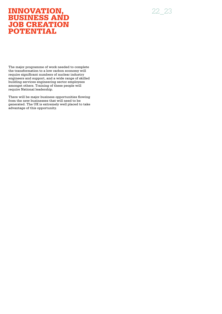### Innovation, Business and **JOB CREATION POTENTIAL**

The major programme of work needed to complete the transformation to a low carbon economy will require significant numbers of nuclear industry engineers and support, and a wide range of skilled building services engineering sector employees amongst others. Training of these people will require National leadership.

There will be major business opportunities flowing from the new businesses that will need to be generated. The UK is extremely well placed to take advantage of this opportunity.

22\_23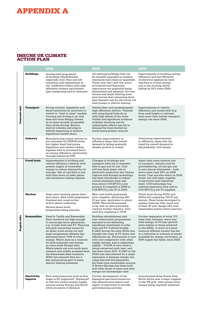# Appendix A

### IMechE UK Climate **ACTION PLAN**

|             |                               | 2015                                                                                                                                                                                                                                                                                                                                                                                                                                                                                                                                                                            | 2030                                                                                                                                                                                                                                                                                                                                                                                                                                                                                                                                                                                                                                                                                                                 | 2050                                                                                                                                                                                                                                                                                                                                                                                       |
|-------------|-------------------------------|---------------------------------------------------------------------------------------------------------------------------------------------------------------------------------------------------------------------------------------------------------------------------------------------------------------------------------------------------------------------------------------------------------------------------------------------------------------------------------------------------------------------------------------------------------------------------------|----------------------------------------------------------------------------------------------------------------------------------------------------------------------------------------------------------------------------------------------------------------------------------------------------------------------------------------------------------------------------------------------------------------------------------------------------------------------------------------------------------------------------------------------------------------------------------------------------------------------------------------------------------------------------------------------------------------------|--------------------------------------------------------------------------------------------------------------------------------------------------------------------------------------------------------------------------------------------------------------------------------------------------------------------------------------------------------------------------------------------|
|             | <b>Buildings</b>              | Accelerated programme<br>of building refurbishment,<br>especially wall, floor and loft<br>insulation and replacement of<br>old, inefficient boilers with high<br>efficiency modern equivalents<br>(gas condensing and/or biomass).                                                                                                                                                                                                                                                                                                                                              | All existing buildings that can<br>be sensibly upgraded to modern<br>standards have been so upgraded.<br>Those that can't and that aren't<br>of architectural/historical<br>importance are gradually being<br>demolished and replaced. All new<br>houses and many existing ones<br>now having their remaining (low)<br>heat demand met by electricity via<br>heat pumps or district heating.                                                                                                                                                                                                                                                                                                                         | Improvements in building energy<br>efficiency and the efficiency<br>of electrical appliances have<br>resulted in overall energy<br>use in the housing sector<br>falling by 50% since 2006.                                                                                                                                                                                                 |
| Demand-side | <b>Transport</b>              | Strong societal, legislative and<br>fiscal incentives for motorists to<br>switch to "best in class" models.<br>Owning and driving a car that<br>does less than 40mpg viewed<br>as no more socially acceptable<br>than drink-driving. Battery<br>electric vehicles and plug-in<br>hybrids beginning to achieve<br>significant market share.                                                                                                                                                                                                                                      | Vehicle fleet now predominantly<br>high-efficiency electric. Vehicles<br>still using liquid fuels do so<br>with high blends of bio-fuels.<br>Visible and significant evidence<br>of global warming and its<br>catastrophic effects has led to<br>demand for fossil-fuelled air<br>travel being greatly reduced.                                                                                                                                                                                                                                                                                                                                                                                                      | Improvements in vehicle<br>efficiency and modal shift (e.g.<br>from road freight to rail/sea)<br>have more than halved transport<br>energy use since 2006.                                                                                                                                                                                                                                 |
|             | Industry                      | Manufacturing output returns to<br>pre-recession (of 2008/9) levels,<br>but higher fossil fuel prices,<br>legislation and carbon trading<br>regimes lead to increased focus<br>on energy efficiency, particularly<br>through industrial CHP.                                                                                                                                                                                                                                                                                                                                    | Further improvements in<br>efficiency mean that overall<br>demand is falling gradually<br>despite growth in output.                                                                                                                                                                                                                                                                                                                                                                                                                                                                                                                                                                                                  | Continuing improvements<br>in efficiency mean that the<br>trend for overall demand to<br>fall gradually, will remain.                                                                                                                                                                                                                                                                      |
| Supply-side | <b>Fossil</b> fuels           | Improvements in building and<br>vehicle efficiency combine with<br>greater supply of renewable<br>energy to reduce demand for oil<br>and gas. Use of coal falls in line<br>with shut down of older plants<br>and emissions trading regimes.                                                                                                                                                                                                                                                                                                                                     | Changes in buildings and<br>transport have led to dramatic<br>falls in gas and oil use. Coal<br>still has fairly major role in<br>electricity production but Carbon<br>Capture and Storage technology<br>has been introduced to reduce<br>overall emissions from coal<br>from about 0.09 MTCO <sub>2</sub> e per<br>primary PJ supplied in 2006 to<br>0.06 MTCO,e per PJ in 2030.                                                                                                                                                                                                                                                                                                                                    | Apart from some residual use<br>in transport, industry and for<br>grid-balancing, oil and gas use<br>is now almost eliminated – both<br>down more than 90% on 2006<br>levels. Coal use also down on 2030<br>levels, but still major supplier<br>of electricity (and industrial<br>heat). CCS technology has<br>reduced emissions from coal to<br>0.05 MTCO <sub>2</sub> e per PJ supplied. |
|             | <b>Nuclear</b>                | Some more existing plants have<br>shut down. New build programme<br>finalised and construction<br>of first plants underway.<br>Second phase build<br>programme being planned.                                                                                                                                                                                                                                                                                                                                                                                                   | Main new build programme<br>now complete, delivering 600<br>PJ per year, equivalent to about<br>32GW. New build assumed<br>to be only on sites previously<br>used by nuclear industry, with<br>each site supplying 2-3GW.                                                                                                                                                                                                                                                                                                                                                                                                                                                                                            | Plants built during 2010s and<br>2020s still supplying 750 PJ per<br>annum. Plans being developed to<br>replace them (as they reach end<br>of their 40 year design life) with<br>renewables and/or fusion reactors.                                                                                                                                                                        |
|             | <b>Renewables</b>             | Feed-In Tariffs and Renewable<br>Heat Incentive set high enough<br>to encourage micro-generation,<br>e.g. of solar heat and PV. Planning<br>and grid-connection issues for<br>on-shore wind sorted out and<br>major programme offshore has<br>delivered about 7GW of wind<br>energy. Waste seen as a resource<br>for both materials and energy,<br>so town-scale Energy from<br>Waste plants are now much more<br>common and widely accepted (and<br>the Renewable Heat Incentive<br>(RHI) has ensured they are a<br>key and growing part of many<br>district heating schemes). | Building refurbishment and<br>new construction programmes<br>assumed to be delivering<br>significant investment in solar<br>heat and PV. Publicly funded<br>R, D&D during the early 2010s has<br>brought the costs of PV down and<br>efficiencies up. Wind power is now<br>fully cost competitive with other<br>supply options, and is expanding<br>rapidly – 3-5GW of new wind is<br>being connected each year, and<br>has been since 2015. R, D&D in the<br>2010s has also allowed for a major<br>expansion in biomass energy use,<br>using 2nd and 3rd generation<br>bio-fuels from sustainable sources.<br>A Severn Barrage has been built<br>and other forms of wave and tidal<br>energy are increasingly used. | Further expansion of wind, PV,<br>solar heat, biomass, wave and<br>tidal energy, at PJ/year growth<br>rates similar to those achieved<br>in the 2020s. A move to a more<br>resource efficient society has led<br>to a reduction in volumes of waste<br>available for energy conversion, so<br>EfW supply has fallen since 2030.                                                            |
|             | <b>Electricity</b><br>imports | New interconnectors built as first<br>stage in EU supported "Supergrid"<br>to link low carbon energy supply<br>sources across Europe and North<br>Africa to points of demand.                                                                                                                                                                                                                                                                                                                                                                                                   | Further development of the<br>Supergrid and interconnectors<br>has allowed more import and<br>export of electricity to provide<br>grid balancing services.                                                                                                                                                                                                                                                                                                                                                                                                                                                                                                                                                           | Concentrated Solar Power from<br>North Africa now a major supplier<br>to the UK grid, with excess wind<br>energy being regularly exported.                                                                                                                                                                                                                                                 |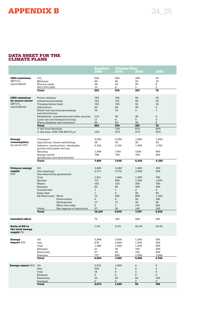# APPENDIX B 24\_25

### Data sheet for the climate plans

|                                          |                                                        | <b>Baseline</b>    | Climate Plan   |                |              |
|------------------------------------------|--------------------------------------------------------|--------------------|----------------|----------------|--------------|
|                                          |                                                        | 2006               | 2015           | 2030           | 2050         |
|                                          |                                                        |                    |                |                |              |
| <b>GHG</b> emissions                     | CO <sub>2</sub>                                        | 556                | 482            | 202            | 55           |
| (MTCO,                                   | Methane                                                | 49                 | 45             | 25             | 10           |
| equivalents)                             | Nitrous oxide                                          | 38                 | 35             | 25             | 8            |
|                                          | HFC/PFC/SF6                                            | 10                 | 8              | 5              | 2            |
|                                          | Total                                                  | 653                | 570            | 257            | 75           |
|                                          |                                                        |                    |                |                |              |
| <b>GHG</b> emissions<br>by source sector | Power stations<br>Industrial processes                 | 185<br>122         | 160<br>115     | 50<br>80       | 18<br>30     |
| (MTCO <sub>2</sub>                       | Transportation fuels                                   | 153                | 135            | 45             | 16           |
| equivalents)                             | Agriculture                                            | 44                 | 40             | 30             | 5            |
|                                          | Fossil fuel retrieval processing                       | 16                 | 10             | $\overline{a}$ | $\mathbf{1}$ |
|                                          | and distribution                                       |                    |                |                |              |
|                                          | Residential, commercial and other sources              | 113                | 90             | 30             | $\mathbf{0}$ |
|                                          | Land use and biomass burning                           | $-2$               | $\mathbf{0}$   | $\mathbf 0$    | $\mathbf{0}$ |
|                                          | Waste disposal and treatment                           | 22                 | 20             | 20             | 5            |
|                                          | <b>Total</b>                                           | 653                | 570            | 257            | 75           |
|                                          | % fall from Baseline                                   |                    | 13%            | 61%            | 89%          |
|                                          | % fall from 1990 (780 MTCO <sub>2</sub> e)             | 16%                | 27%            | 67%            | 90%          |
|                                          |                                                        |                    |                |                |              |
| <b>Energy</b>                            | Transport                                              | 2,503              | 2,400          | 1.600          | 1,200        |
| consumption                              | Agriculture, forest and fishing                        | 38                 | 35             | 30             | 20           |
| by sector (PJ)                           | Industry, construction, wholesale,                     | 2,158              | 2,100          | 1,950          | 1,750        |
|                                          | private and public service                             |                    |                |                |              |
|                                          | Housing                                                | 1,908              | 1750           | 1250           | 950          |
|                                          | Energy sector                                          | 798                | 750            | 700            | 400          |
|                                          | (production and distribution)                          |                    |                |                |              |
|                                          | Total                                                  | 7,405              | 7,035          | 5,530          | 4,320        |
|                                          |                                                        |                    |                |                |              |
| <b>Primary energy</b>                    | Oil                                                    | 3,685              | 3,450          | 1,400          | 300          |
| supply                                   | Gas (heating)                                          | 3,771              | 3,775          | 2,000          | 300          |
| (PJ)                                     | Gas (electricity generation)                           |                    |                |                |              |
|                                          | Coal                                                   | 1,811              | 1,400          | 1,200          | 750          |
|                                          | Nuclear                                                | 717                | 600            | 1,500          | 1,875        |
|                                          | Waste                                                  | 103                | 125            | 200            | 100          |
|                                          | <b>Biomass</b>                                         | 62                 | 65             | 300            | 400          |
|                                          | Geothermal                                             | $\mathbf{1}$       | $\mathbf{1}$   | $\overline{a}$ | 5            |
|                                          | Solar heat                                             | $\mathbf{1}$       | $\overline{a}$ | 40             | 80           |
|                                          | RE Electricity: Wind                                   | 15                 | 200<br>5       | 800            | 1,200        |
|                                          | Photovoltaic                                           | $\mathbf{0}$<br>17 | 17             | 50             | 160          |
|                                          | Hydropower                                             | 0                  | $\mathbf{1}$   | 20<br>175      | 20<br>325    |
|                                          | Wave and tidal<br>Other:<br>Net imports of electricity | 27                 | 35             | 100            | 300          |
|                                          | Total                                                  | 10,210             | 9,676          | 7,787          | 5,815        |
|                                          |                                                        |                    |                |                |              |
| <b>Installed effect</b>                  |                                                        | 75                 | 100            | 200            | 250          |
|                                          |                                                        |                    |                |                |              |
| <b>Ratio of RE to</b>                    |                                                        | 1.9%               | 4.3%           | 20.4%          | 39.4%        |
| the total energy                         |                                                        |                    |                |                |              |
| supply $(\%)$                            |                                                        |                    |                |                |              |
|                                          |                                                        |                    |                |                |              |
| <b>Energy</b>                            | Oil                                                    | 3,944              | 3,000          | 1,250          | 300          |
| import(PJ)                               | Gas                                                    | 879                | 2,500          | 1,500          | 300          |
|                                          | Coal                                                   | 1,366              | 1,200          | 1,000          | 500          |
|                                          | <b>Biomass</b>                                         | 21                 | 30             | 100            | 200          |
|                                          | Electricity                                            | 37                 | 55             | 150            | 400          |
|                                          | Uranium                                                | 717                | 600            | 1,000          | 1,000        |
|                                          | Total                                                  | 6,964              | 7,385          | 5,000          | 2,700        |
| <b>Energy export <math>(PJ)</math></b>   | Oil                                                    |                    |                | $\mathbf 0$    | $\mathbf 0$  |
|                                          | Gas                                                    | 3,615<br>434       | 1,000<br>0     | $\pmb{0}$      | $\mathbf 0$  |
|                                          | Coal                                                   | 14                 | 0              | 0              | $\mathbf 0$  |
|                                          | <b>Biomass</b>                                         | 0                  | $\pmb{0}$      | 0              | $\mathbf 0$  |
|                                          | Electricity                                            | 10                 | 20             | 50             | 100          |
|                                          | Uranium                                                | 0                  | $\mathbf 0$    | 0              | 0            |
|                                          | <b>Total</b>                                           | 4,073              | 1,020          | 50             | 100          |
|                                          |                                                        |                    |                |                |              |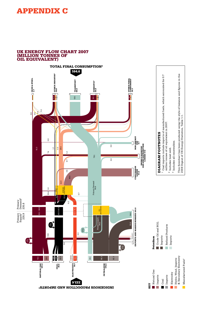# Appendix C

UK Energy Flow Chart 2007 (million tonnes of oil equivalent)

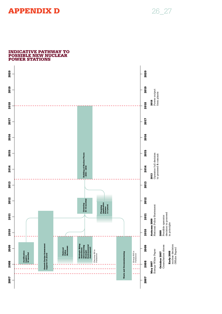# APPENDIX D 26\_27

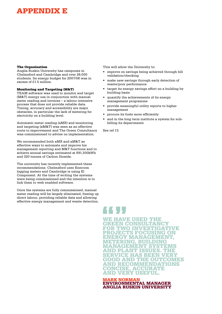# Appendix E

### The Organisation

Anglia Ruskin University has campuses in Chelmsford and Cambridge and over 26,000 students. Its energy budget for 2007/08 was in excess of £1.5 million.

#### Monitoring and Targeting (M&T)

TEAM software was used to monitor and target (M&T) energy use in conjunction with manual meter reading and invoices – a labour intensive process that does not provide reliable data. Timing, accuracy and accessibility are major obstacles, in particular the lack of metering for electricity on a building level.

Automatic meter reading (aMR) and monitoring and targeting (aM&T) was seen as an effective route to improvement and The Green Consultancy was commissioned to advise on implementation.

We recommended both aMR and aM&T as effective ways to automate and improve his management reporting and M&T functions and to achieve annual savings estimated at 891,500kWh and 320 tonnes of Carbon Dioxide.

The university has recently implemented these recommendations. Chelmsford uses Enercom logging meters and Cambridge is using El Component. At the time of writing the systems were being commissioned and the intention is to link them to web enabled software.

Once the systems are fully commissioned, manual meter reading will be largely eliminated, freeing up direct labour, providing reliable data and allowing effective energy management and waste detection.

This will allow the University to:

- improve on savings being achieved through bill validation/checking
- make new savings through early detection of waste/poor performance
- target its energy savings effort on a building by building basis
- quantify the achievements of its energy management programme
- provide meaningful utility reports to higher management
- • procure its fuels more efficiently
- and in the long term institute a system for subbilling its departments

See ref 13.

**AA 55** 

We have used The Green Consultancy for two investigative projects focusing on energy management, metering, Building Management Systems and plant issues. The service has been very good and the outcomes and recommendations concise, accurate and very useful.

Mark Norman Environmental Manager Anglia Ruskin University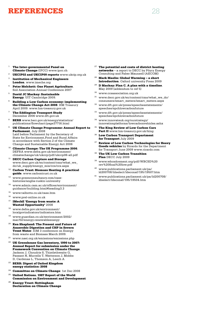# **REFERENCES**

- <sup>1</sup> The Inter-governmental Panel on Climate Change (IPCC) www.ipcc.ch
- <sup>2</sup> UKCIP02 and UKCIP09 reports www.ukcip.org.uk
- **Institution of Mechanical Engineers** London. www.imeche.org
- <sup>4</sup> Peter Melchett: One Planet Agriculture. Soil Association Annual Conference 2007
- <sup>5</sup> David JC Mackay: Sustainable Energy. UIT Cambridge 2009.
- <sup>6</sup> Building a Low Carbon economy: implementing the Climate Change Act 2008. HM Treasury April 2009. www.hm-treasury.gov.uk
- <sup>7</sup> The Eddington Transport Study December 2006 www.dft.gov.uk
- BERR www.berr.gov.uk/energy/statistics/ publications/flowchart/page37716.html
- <sup>9</sup> UK Climate Change Programme: Annual Report to Parliament, July 2008 Laid before Parliament by the Secretary of State for Environment,Food and Rural Affairs in accordance with Section 2 of the Climate Change and Sustainable Energy Act 2006
- <sup>10</sup> Climate Change: The UK Programme 2006. DEFRA www.defra.gov.uk/environment/ climatechange/uk/ukccp/pdf/ukccp06-all.pdf
- $11$  DECC Carbon Capture and Storage www.decc.gov.uk/en/content/cms/what\_we\_ do/uk\_supply/energy\_mix/ccs/ccs.aspx
- <sup>12</sup> Carbon Trust: Biomass Heating A practical guide. www.carbontrust.co.uk
- www.greenconsultancy.com/casehistories/anglia-ruskin-university
- <sup>14</sup> www.admin.cam.ac.uk/offices/environment/ guidance/building.html#heading3.3
- <sup>15</sup> www.talbotts.co.uk/case.htm
- <sup>16</sup> www.prel-online.co.uk
- $17$  IMechE 'Energy from waste: A Wasted Opportunity' 2008
- <sup>18</sup> www.defra.gov.uk/environment/ localgovindicators/indicators.htm
- <sup>19</sup> www.guardian.co.uk/environment/2002/ mar/02/energy.renewableenergy
- <sup>20</sup> Ken Shapland: The Present and Future of Anaerobic Digestion and CHP in Severn Trent Water. IOM 3 conference on Energy from waste and Biomass March 2009.
- <sup>21</sup> www.naei.org.uk/emissions/emissions.php
- $22$  UK Greenhouse Gas Inventory, 1990 to 2007: Annual Report for submission under the Framework Convention on Climate Change. Jackson J, Choudrie S, Thistlethwaite G, Passant N, Murrells T, Watterson J, Mobbs D, Cardenas L, Thomson A, Leech A
- BERR: Digest of United Kingdom energy statistics: 2008
- <sup>24</sup> Committee on Climate Change: 1st Dec 2008
- <sup>25</sup> United Nations. 1987 Report of the World Commission on Environment and Development
- <sup>26</sup> Energy Trust: Nottingham Declaration on Climate Change
- The potential and costs of district heating networks – a report to DECC by Pöyry Energy Consulting and Faber Maunsell (AECOM)
- Mark Maslin: Global Warming a short Introduction. Oxford university Press 2009
- D Mackay: Plan C. A plan with a timeline. May 2009 (addendum to ref 5)
- <sup>30</sup> www.ccsassociation.org.uk
- $31$  www.decc.gov.uk/en/content/cms/what we do/ consumers/smart\_meters/smart\_meters.aspx
- $32$  www.dft.gov.uk/press/speechesstatements/ speeches/spchlowcarbonfuture
- <sup>33</sup> www.dft.gov.uk/press/speechesstatements/ speeches/spchlowcarbonfuture
- <sup>34</sup> www.innovateuk.org/ourstrategy/ innovationplatforms/lowcarbonvehicles.ashx
- **The King Review of Low Carbon Cars** Part II www.hm-treasury.gov.uk/king
- $36$  Low Carbon Transport Department for Transport July 2009
- <sup>37</sup> Review of Low Carbon Technologies for Heavy Goods vehicles by Ricardo for the Department for Transport June 2009 www.ricardo.com
- **The UK Low Carbon Transition** Plan DECC July 2009
- <sup>39</sup> www.wbcsdcement.org/pdf/WBCSD%20 rev%20final%20low.pdf
- <sup>40</sup> www.publications.parliament.uk/pa/ ld200708/ldselect/ldeconaf/195/19507.htm
- <sup>41</sup> www.publications.parliament.uk/pa/ld200708/ ldselect/ldeconaf/195/19504.htm

28